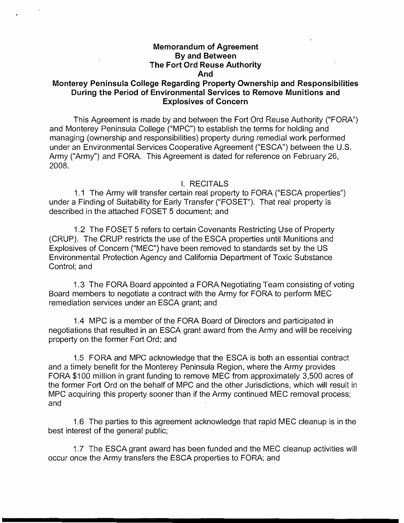# **Memorandum of Agreement By and Between The Fort Ord Reuse Authority And**

# **Monterey Peninsula College Regarding Property Ownership and Responsibilities During the Period of Environmental Services to Remove Munitions and Explosives of Concern**

This Agreement is made by and between the Fort Ord Reuse Authority ("FORA") and Monterey Peninsula College ("MPG") to establish the terms for holding and managing (ownership and responsibilities) property during remedial work performed under an Environmental Services Cooperative Agreement ("ESCA") between the U.S. Army ("Army") and FORA. This Agreement is dated for reference on February 26, 2008.

#### I. RECITALS

1.1 The Army will transfer certain real property to FORA ("ESCA properties") under a Finding of Suitability for Early Transfer ("FOSET"). That real property is described in the attached FOSET 5 document; and

1.2 The FOSET 5 refers to certain Covenants Restricting Use of Property (CRUP). The CRUP restricts the use of the ESCA properties until Munitions and Explosives of Concern ("MEG") have been removed to standards set by the US Environmental Protection Agency and California Department of Toxic Substance Control; and

1.3 The FORA Board appointed a FORA Negotiating Team consisting of voting Board members to negotiate a contract with the Army for FORA to perform MEG remediation services under an ESCA grant; and

1.4 MPG is a member of the FORA Board of Directors and participated in negotiations that resulted in an ESCA grant award from the Army and will be receiving property on the former Fort Ord; and

1.5 FORA and MPG acknowledge that the ESCA is both an essential contract and a timely benefit for the Monterey Peninsula Region, where the Army provides FORA \$100 million in grant funding to remove MEC from approximately 3,500 acres of the former Fort Ord on the behalf of MPG and the other Jurisdictions, which will result in MPG acquiring this property sooner than if the Army continued MEG removal process; and

1.6 The parties to this agreement acknowledge that rapid MEG cleanup is in the best interest of the general public;

1.7 The ESCA grant award has been funded and the MEG cleanup activities will occur once the Army transfers the ESCA properties to FORA; and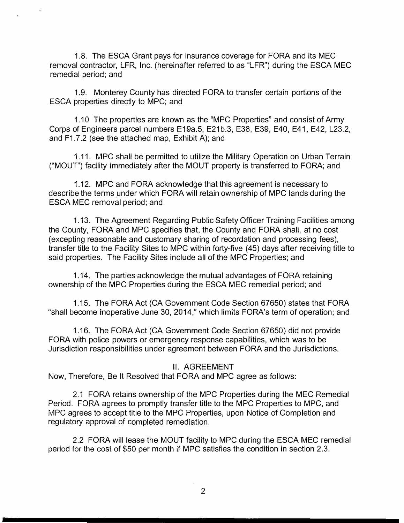1.8. The ESCA Grant pays for insurance coverage for FORA and its MEC removal contractor, LFR, Inc. (hereinafter referred to as "LFR") during the ESCA MEC remedial period; and

1.9. Monterey County has directed FORA to transfer certain portions of the ESCA properties directly to MPC; and

1.10 The properties are known as the "MPC Properties" and consist of Army Corps of Engineers parcel numbers E19a.5, E21b.3, E38, E39, E40, E41, E42, L23.2, and F1.7.2 (see the attached map, Exhibit A); and

1.11. MPC shall be permitted to utilize the Military Operation on Urban Terrain ("MOUT") facility immediately after the MOUT property is transferred to FORA; and

1.12. MPC and FORA acknowledge that this agreement is necessary to describe the terms under which FORA will retain ownership of MPC lands during the ESCA MEC removal period; and

1.13. The Agreement Regarding Public Safety Officer Training Facilities among the County, FORA and MPC specifies that, the County and FORA shall, at no cost (excepting reasonable and customary sharing of recordation and processing fees), transfer title to the Facility Sites to MPC within forty-five (45) days after receiving title to said properties. The Facility Sites include all of the MPC Properties; and

1.14. The parties acknowledge the mutual advantages of FORA retaining ownership of the MPC Properties during the ESCA MEC remedial period; and

1.15. The FORA Act (CA Government Code Section 67650) states that FORA "shall become inoperative June 30, 2014," which limits FORA's term of operation; and

1.16. The FORA Act (CA Government Code Section 67650) did not provide FORA with police powers or emergency response capabilities, which was to be Jurisdiction responsibilities under agreement between FORA and the Jurisdictions.

# II. AGREEMENT

Now, Therefore, Be It Resolved that FORA and MPC agree as follows:

2.1 FORA retains ownership of the MPC Properties during the MEC Remedial Period. FORA agrees to promptly transfer title to the MPC Properties to MPC, and MPC agrees to accept title to the MPC Properties, upon Notice of Completion and regulatory approval of completed remediation.

2.2 FORA will lease the MOUT facility to MPC during the ESCA MEC remedial period for the cost of \$50 per month if MPC satisfies the condition in section 2.3.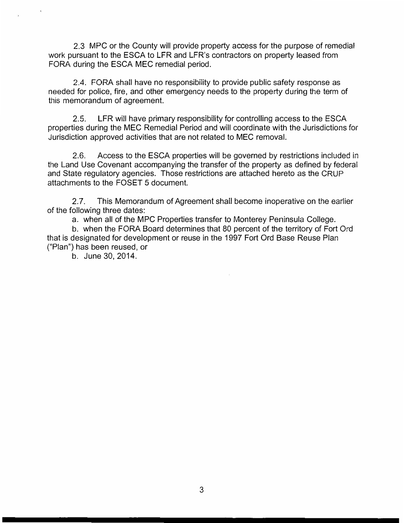2.3 MPG or the County will provide property access for the purpose of remedial work pursuant to the ESCA to LFR and LFR's contractors on property leased from FORA during the ESCA MEG remedial period.

2.4. FORA shall have no responsibility to provide public safety response as needed for police, fire, and other emergency needs to the property during the term of this memorandum of agreement.

2.5. LFR will have primary responsibility for controlling access to the ESCA properties during the MEG Remedial Period and will coordinate with the Jurisdictions for Jurisdiction approved activities that are not related to MEG removal.

2.6. Access to the ESCA properties will be governed by restrictions included in the Land Use Covenant accompanying the transfer of the property as defined by federal and State regulatory agencies. Those restrictions are attached hereto as the CRUP attachments to the FOSET 5 document.

2.7. This Memorandum of Agreement shall become inoperative on the earlier of the following three dates:

a. when all of the MPG Properties transfer to Monterey Peninsula College.

b. when the FORA Board determines that 80 percent of the territory of Fort Ord that is designated for development or reuse in the 1997 Fort Ord Base Reuse Plan ("Plan") has been reused, or

b. June 30, 2014.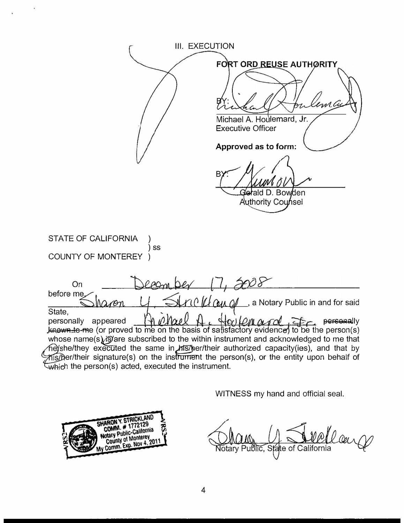**III. EXECUTION** FORT ORD REUSE AUTHORITY Michael A. Houlemard, Jr. **Executive Officer** Approved as to form: B Gerald D. Bowden Authority Counsel **STATE OF CALIFORNIA**  $)$  SS COUNTY OF MONTEREY  $\lambda$ 70 P  $r_1 \cap \ell_1$ a Notary Public in and for said 10m

**On** before me State,  $n$ noel Harlenard personally appeared K  $\Box$  personally **known to me** (or proved to me on the basis of satisfactory evidence) to be the person(s) whose name(s) is are subscribed to the within instrument and acknowledged to me that

heyshe/they executed the same in hts/her/their authorized capacity(ies), and that by mis/ber/their signature(s) on the instrument the person(s), or the entity upon behalf of which the person(s) acted, executed the instrument.

WITNESS my hand and official seal.



Daus Notarv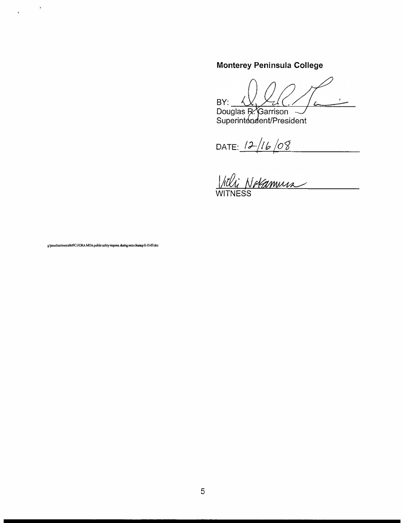# Monterey Peninsula College

BY:  $\sqrt{2}$ 

BY: <u>(V) XV</u><br>Douglas R. Garrison<br>Superintendent/President

DATE: 12/16/08

g/jonathan'eiescaWPC-FORA MOA public safety respons, during esca clearum 8-15-07.doc

 $\ddot{\phantom{a}}$ 

 $\tilde{\mathbf{e}}$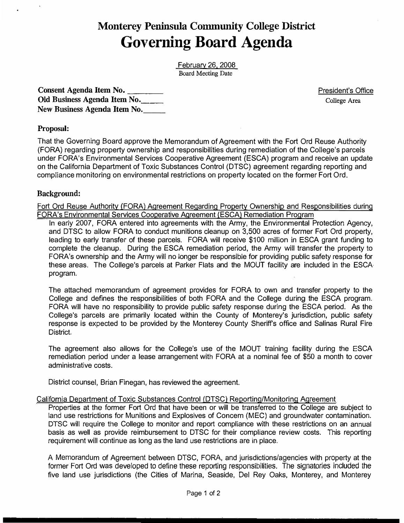# **Monterey Peninsula Community College District Governing Board Agenda**

February 26. 2008 Board Meeting Date

Consent Agenda Item No. Old Business Agenda Item No. New Business Agenda Item No. President's Office College Area

# **Proposal:**

That the Governing Board approve the Memorandum of Agreement with the Fort Ord Reuse Authority (FORA) regarding property ownership and responsibilities during remediation of the College's parcels under FORA's Environmental Services Cooperative Agreement (ESCA) program and receive an update on the California Department of Toxic Substances Control (DTSC) agreement regarding reporting and compliance monitoring on environmental restrictions on property located on the former Fort Ord.

#### **Background:**

Fort Ord Reuse Authority {FORA) Agreement Regarding Property Ownership and Responsibilities during FORA's Environmental Services Cooperative Agreement (ESCA) Remediation Program

In early 2007, FORA entered into agreements with the Army, the Environmental Protection Agency, and DTSC to allow FORA to conduct munitions cleanup on 3,500 acres of former Fort Ord property, leading to early transfer of these parcels. FORA will receive \$100 million in ESCA grant funding to complete the cleanup. During the ESCA remediation period, the Army will transfer the property to FORA's ownership and the Army will no longer be responsible for providing public safety response for these areas. The College's parcels at Parker Flats and the MOUT facility are included in the ESCA program.

The attached memorandum of agreement provides for FORA to own and transfer property to the College and defines the responsibilities of both FORA and the College during the ESCA program. FORA will have no responsibility to provide public safety response during the ESCA period. As the College's parcels are primarily located within the County of Monterey's jurisdiction, public safety response is expected to be provided by the Monterey County Sheriff's office and Salinas Rural Fire District.

The agreement also allows for the College's use of the MOUT training facility during the ESCA remediation period under a lease arrangement with FORA at a nominal fee of \$50 a month to cover administrative costs.

District counsel, Brian Finegan, has reviewed the agreement.

#### California Department of Toxic Substances Control {DTSC) Reporting/Monitoring Agreement

Properties at the former Fort Ord that have been or will be transferred to the College are subject to land use restrictions for Munitions and Explosives of Concern (MEG) and groundwater contamination. DTSC will require the College to monitor and report compliance with these restrictions on an annual basis as well as provide reimbursement to DTSC for their compliance review costs. This reporting requirement will continue as long as the land use restrictions are in place.

A Memorandum of Agreement between DTSC, FORA, and jurisdictions/agencies with property at the former Fort Ord was developed to define these reporting responsibilities. The signatories included the five land use jurisdictions (the Cities of Marina, Seaside, Del Rey Oaks, Monterey, and Monterey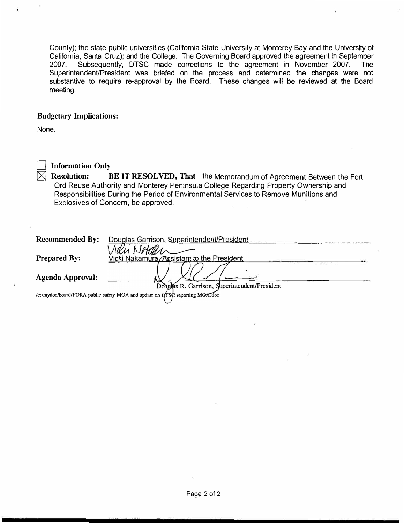County); the state public universities (California State University at Monterey Bay and the University of California, Santa Cruz); and the College. The Governing Board approved the agreement in September 2007. Subsequently, DTSC made corrections to the agreement in November 2007. The Superintendent/President was briefed on the process and determined the changes were not substantive to require re-approval by the Board. These changes will be reviewed at the Board meeting.

#### **Budgetary Implications:**

None.



# **Information Only**

� **Resolution: BE IT RESOLVED, That** the Memorandum of Agreement Between the Fort Ord Reuse Authority and Monterey Peninsula College Regarding Property Ownership and Responsibilities During the Period of Environmental Services to Remove Munitions and Explosives of Concern, be approved.

| <b>Recommended By:</b>                                                      | Douglas Garrison, Superintendent/President    |
|-----------------------------------------------------------------------------|-----------------------------------------------|
|                                                                             | Nach                                          |
| <b>Prepared By:</b>                                                         | Vicki Nakamura/Assistant to the President     |
| Agenda Approval:                                                            |                                               |
|                                                                             | Douglas R. Garrison, Superintendent/President |
| /c:/mydoc/board/FORA public safety MOA and update on DTSC reporting MOA.doc |                                               |